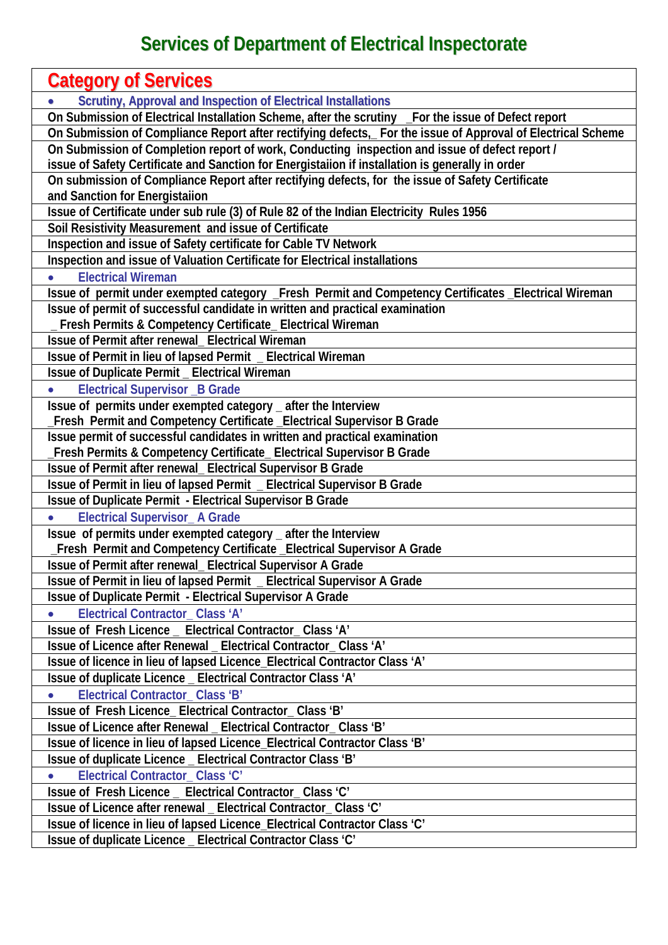## **Services of Department of Electrical Inspectorate**

| <b>Category of Services</b>                                                                                  |
|--------------------------------------------------------------------------------------------------------------|
| <b>Scrutiny, Approval and Inspection of Electrical Installations</b>                                         |
| On Submission of Electrical Installation Scheme, after the scrutiny _For the issue of Defect report          |
| On Submission of Compliance Report after rectifying defects,_ For the issue of Approval of Electrical Scheme |
| On Submission of Completion report of work, Conducting inspection and issue of defect report /               |
| issue of Safety Certificate and Sanction for Energistaiion if installation is generally in order             |
| On submission of Compliance Report after rectifying defects, for the issue of Safety Certificate             |
| and Sanction for Energistalion                                                                               |
| Issue of Certificate under sub rule (3) of Rule 82 of the Indian Electricity Rules 1956                      |
| Soil Resistivity Measurement and issue of Certificate                                                        |
| Inspection and issue of Safety certificate for Cable TV Network                                              |
| Inspection and issue of Valuation Certificate for Electrical installations                                   |
| <b>Electrical Wireman</b>                                                                                    |
| Issue of permit under exempted category _Fresh Permit and Competency Certificates _Electrical Wireman        |
| Issue of permit of successful candidate in written and practical examination                                 |
| Fresh Permits & Competency Certificate_ Electrical Wireman                                                   |
| Issue of Permit after renewal_ Electrical Wireman                                                            |
| Issue of Permit in lieu of lapsed Permit _ Electrical Wireman                                                |
| <b>Issue of Duplicate Permit _ Electrical Wireman</b>                                                        |
| <b>Electrical Supervisor _B Grade</b>                                                                        |
| Issue of permits under exempted category _ after the Interview                                               |
| Fresh Permit and Competency Certificate _Electrical Supervisor B Grade                                       |
| Issue permit of successful candidates in written and practical examination                                   |
| Fresh Permits & Competency Certificate_ Electrical Supervisor B Grade                                        |
| Issue of Permit after renewal_ Electrical Supervisor B Grade                                                 |
| Issue of Permit in lieu of lapsed Permit _ Electrical Supervisor B Grade                                     |
| Issue of Duplicate Permit - Electrical Supervisor B Grade                                                    |
| <b>Electrical Supervisor_A Grade</b>                                                                         |
| Issue of permits under exempted category _ after the Interview                                               |
| Fresh Permit and Competency Certificate _Electrical Supervisor A Grade                                       |
| Issue of Permit after renewal_ Electrical Supervisor A Grade                                                 |
| Issue of Permit in lieu of lapsed Permit _ Electrical Supervisor A Grade                                     |
| <b>Issue of Duplicate Permit - Electrical Supervisor A Grade</b>                                             |
| <b>Electrical Contractor Class 'A'</b>                                                                       |
| Issue of Fresh Licence _ Electrical Contractor_Class 'A'                                                     |
| Issue of Licence after Renewal _ Electrical Contractor_ Class 'A'                                            |
| Issue of licence in lieu of lapsed Licence_Electrical Contractor Class 'A'                                   |
|                                                                                                              |
| Issue of duplicate Licence _ Electrical Contractor Class 'A'                                                 |
| Electrical Contractor_Class 'B'                                                                              |
| Issue of Fresh Licence_Electrical Contractor_Class 'B'                                                       |
| Issue of Licence after Renewal _ Electrical Contractor_ Class 'B'                                            |
| Issue of licence in lieu of lapsed Licence_Electrical Contractor Class 'B'                                   |
| Issue of duplicate Licence _ Electrical Contractor Class 'B'                                                 |
| Electrical Contractor_Class 'C'                                                                              |
| Issue of Fresh Licence _ Electrical Contractor_Class 'C'                                                     |
| Issue of Licence after renewal _ Electrical Contractor_ Class 'C'                                            |
| Issue of licence in lieu of lapsed Licence_Electrical Contractor Class 'C'                                   |
| Issue of duplicate Licence _ Electrical Contractor Class 'C'                                                 |